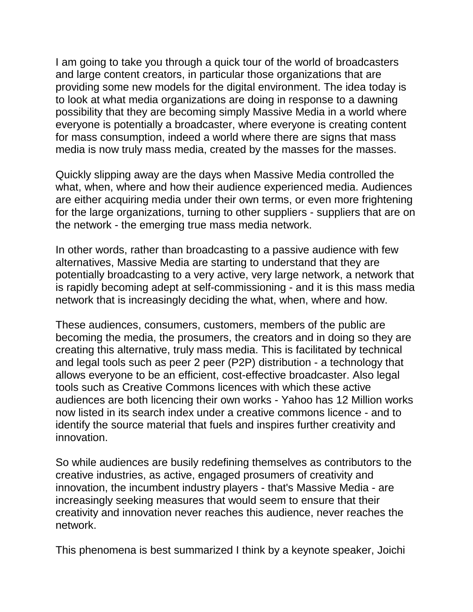I am going to take you through a quick tour of the world of broadcasters and large content creators, in particular those organizations that are providing some new models for the digital environment. The idea today is to look at what media organizations are doing in response to a dawning possibility that they are becoming simply Massive Media in a world where everyone is potentially a broadcaster, where everyone is creating content for mass consumption, indeed a world where there are signs that mass media is now truly mass media, created by the masses for the masses.

Quickly slipping away are the days when Massive Media controlled the what, when, where and how their audience experienced media. Audiences are either acquiring media under their own terms, or even more frightening for the large organizations, turning to other suppliers - suppliers that are on the network - the emerging true mass media network.

In other words, rather than broadcasting to a passive audience with few alternatives, Massive Media are starting to understand that they are potentially broadcasting to a very active, very large network, a network that is rapidly becoming adept at self-commissioning - and it is this mass media network that is increasingly deciding the what, when, where and how.

These audiences, consumers, customers, members of the public are becoming the media, the prosumers, the creators and in doing so they are creating this alternative, truly mass media. This is facilitated by technical and legal tools such as peer 2 peer (P2P) distribution - a technology that allows everyone to be an efficient, cost-effective broadcaster. Also legal tools such as Creative Commons licences with which these active audiences are both licencing their own works - Yahoo has 12 Million works now listed in its search index under a creative commons licence - and to identify the source material that fuels and inspires further creativity and innovation.

So while audiences are busily redefining themselves as contributors to the creative industries, as active, engaged prosumers of creativity and innovation, the incumbent industry players - that's Massive Media - are increasingly seeking measures that would seem to ensure that their creativity and innovation never reaches this audience, never reaches the network.

This phenomena is best summarized I think by a keynote speaker, Joichi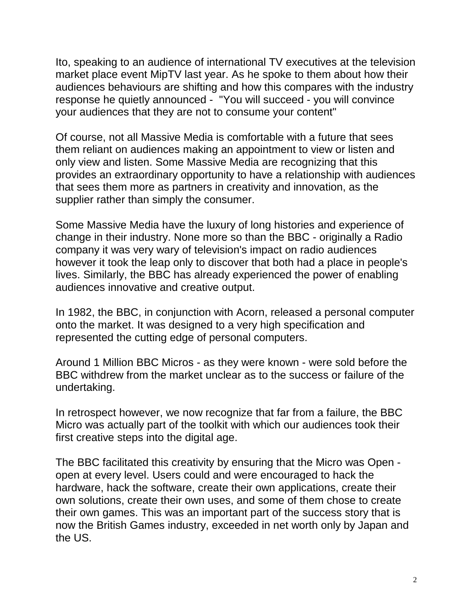Ito, speaking to an audience of international TV executives at the television market place event MipTV last year. As he spoke to them about how their audiences behaviours are shifting and how this compares with the industry response he quietly announced - "You will succeed - you will convince your audiences that they are not to consume your content"

Of course, not all Massive Media is comfortable with a future that sees them reliant on audiences making an appointment to view or listen and only view and listen. Some Massive Media are recognizing that this provides an extraordinary opportunity to have a relationship with audiences that sees them more as partners in creativity and innovation, as the supplier rather than simply the consumer.

Some Massive Media have the luxury of long histories and experience of change in their industry. None more so than the BBC - originally a Radio company it was very wary of television's impact on radio audiences however it took the leap only to discover that both had a place in people's lives. Similarly, the BBC has already experienced the power of enabling audiences innovative and creative output.

In 1982, the BBC, in conjunction with Acorn, released a personal computer onto the market. It was designed to a very high specification and represented the cutting edge of personal computers.

Around 1 Million BBC Micros - as they were known - were sold before the BBC withdrew from the market unclear as to the success or failure of the undertaking.

In retrospect however, we now recognize that far from a failure, the BBC Micro was actually part of the toolkit with which our audiences took their first creative steps into the digital age.

The BBC facilitated this creativity by ensuring that the Micro was Open open at every level. Users could and were encouraged to hack the hardware, hack the software, create their own applications, create their own solutions, create their own uses, and some of them chose to create their own games. This was an important part of the success story that is now the British Games industry, exceeded in net worth only by Japan and the US.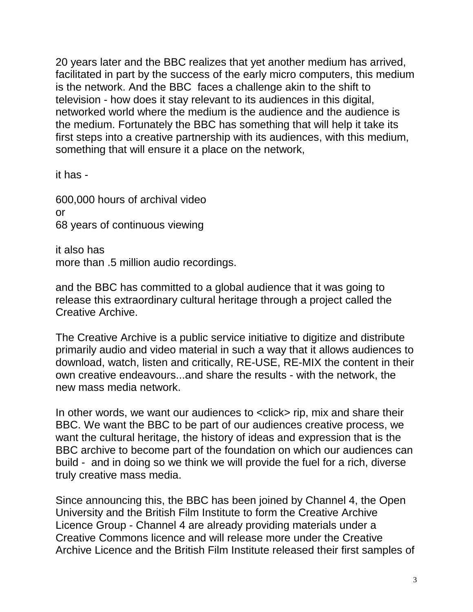20 years later and the BBC realizes that yet another medium has arrived, facilitated in part by the success of the early micro computers, this medium is the network. And the BBC faces a challenge akin to the shift to television - how does it stay relevant to its audiences in this digital, networked world where the medium is the audience and the audience is the medium. Fortunately the BBC has something that will help it take its first steps into a creative partnership with its audiences, with this medium, something that will ensure it a place on the network,

it has -

600,000 hours of archival video or 68 years of continuous viewing

it also has more than .5 million audio recordings.

and the BBC has committed to a global audience that it was going to release this extraordinary cultural heritage through a project called the Creative Archive.

The Creative Archive is a public service initiative to digitize and distribute primarily audio and video material in such a way that it allows audiences to download, watch, listen and critically, RE-USE, RE-MIX the content in their own creative endeavours...and share the results - with the network, the new mass media network.

In other words, we want our audiences to <click> rip, mix and share their BBC. We want the BBC to be part of our audiences creative process, we want the cultural heritage, the history of ideas and expression that is the BBC archive to become part of the foundation on which our audiences can build - and in doing so we think we will provide the fuel for a rich, diverse truly creative mass media.

Since announcing this, the BBC has been joined by Channel 4, the Open University and the British Film Institute to form the Creative Archive Licence Group - Channel 4 are already providing materials under a Creative Commons licence and will release more under the Creative Archive Licence and the British Film Institute released their first samples of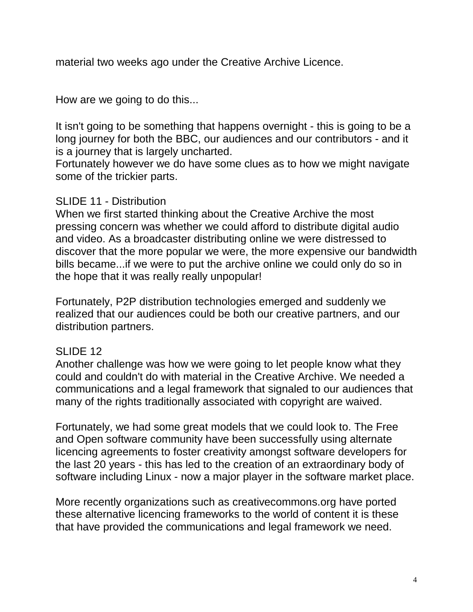material two weeks ago under the Creative Archive Licence.

How are we going to do this...

It isn't going to be something that happens overnight - this is going to be a long journey for both the BBC, our audiences and our contributors - and it is a journey that is largely uncharted.

Fortunately however we do have some clues as to how we might navigate some of the trickier parts.

## SLIDE 11 - Distribution

When we first started thinking about the Creative Archive the most pressing concern was whether we could afford to distribute digital audio and video. As a broadcaster distributing online we were distressed to discover that the more popular we were, the more expensive our bandwidth bills became...if we were to put the archive online we could only do so in the hope that it was really really unpopular!

Fortunately, P2P distribution technologies emerged and suddenly we realized that our audiences could be both our creative partners, and our distribution partners.

## SLIDE 12

Another challenge was how we were going to let people know what they could and couldn't do with material in the Creative Archive. We needed a communications and a legal framework that signaled to our audiences that many of the rights traditionally associated with copyright are waived.

Fortunately, we had some great models that we could look to. The Free and Open software community have been successfully using alternate licencing agreements to foster creativity amongst software developers for the last 20 years - this has led to the creation of an extraordinary body of software including Linux - now a major player in the software market place.

More recently organizations such as creativecommons.org have ported these alternative licencing frameworks to the world of content it is these that have provided the communications and legal framework we need.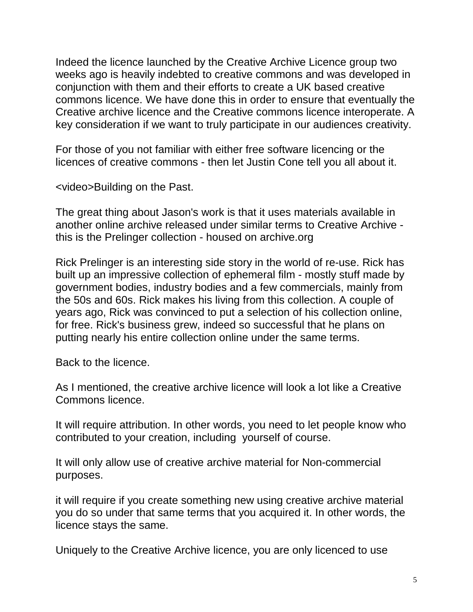Indeed the licence launched by the Creative Archive Licence group two weeks ago is heavily indebted to creative commons and was developed in conjunction with them and their efforts to create a UK based creative commons licence. We have done this in order to ensure that eventually the Creative archive licence and the Creative commons licence interoperate. A key consideration if we want to truly participate in our audiences creativity.

For those of you not familiar with either free software licencing or the licences of creative commons - then let Justin Cone tell you all about it.

<video>Building on the Past.

The great thing about Jason's work is that it uses materials available in another online archive released under similar terms to Creative Archive this is the Prelinger collection - housed on archive.org

Rick Prelinger is an interesting side story in the world of re-use. Rick has built up an impressive collection of ephemeral film - mostly stuff made by government bodies, industry bodies and a few commercials, mainly from the 50s and 60s. Rick makes his living from this collection. A couple of years ago, Rick was convinced to put a selection of his collection online, for free. Rick's business grew, indeed so successful that he plans on putting nearly his entire collection online under the same terms.

Back to the licence.

As I mentioned, the creative archive licence will look a lot like a Creative Commons licence.

It will require attribution. In other words, you need to let people know who contributed to your creation, including yourself of course.

It will only allow use of creative archive material for Non-commercial purposes.

it will require if you create something new using creative archive material you do so under that same terms that you acquired it. In other words, the licence stays the same.

Uniquely to the Creative Archive licence, you are only licenced to use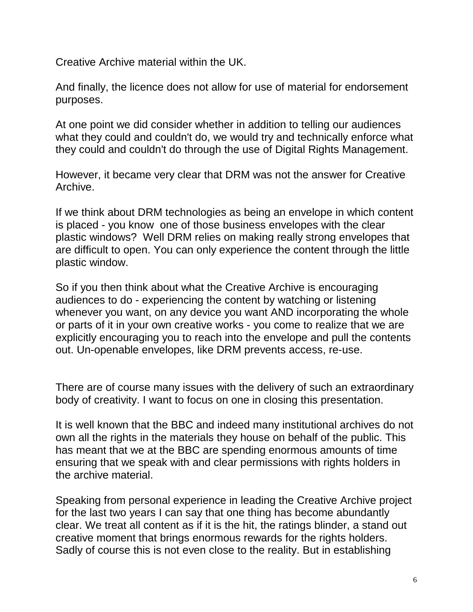Creative Archive material within the UK.

And finally, the licence does not allow for use of material for endorsement purposes.

At one point we did consider whether in addition to telling our audiences what they could and couldn't do, we would try and technically enforce what they could and couldn't do through the use of Digital Rights Management.

However, it became very clear that DRM was not the answer for Creative Archive.

If we think about DRM technologies as being an envelope in which content is placed - you know one of those business envelopes with the clear plastic windows? Well DRM relies on making really strong envelopes that are difficult to open. You can only experience the content through the little plastic window.

So if you then think about what the Creative Archive is encouraging audiences to do - experiencing the content by watching or listening whenever you want, on any device you want AND incorporating the whole or parts of it in your own creative works - you come to realize that we are explicitly encouraging you to reach into the envelope and pull the contents out. Un-openable envelopes, like DRM prevents access, re-use.

There are of course many issues with the delivery of such an extraordinary body of creativity. I want to focus on one in closing this presentation.

It is well known that the BBC and indeed many institutional archives do not own all the rights in the materials they house on behalf of the public. This has meant that we at the BBC are spending enormous amounts of time ensuring that we speak with and clear permissions with rights holders in the archive material.

Speaking from personal experience in leading the Creative Archive project for the last two years I can say that one thing has become abundantly clear. We treat all content as if it is the hit, the ratings blinder, a stand out creative moment that brings enormous rewards for the rights holders. Sadly of course this is not even close to the reality. But in establishing